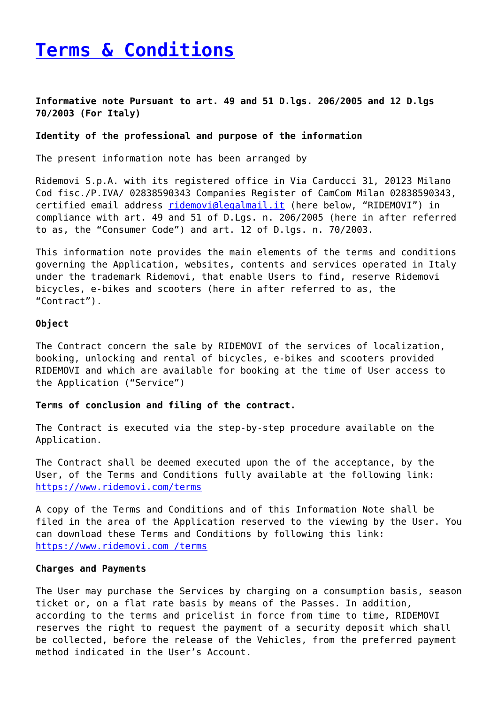# **[Terms & Conditions](https://www.ridemovi.com/terms/)**

# **Informative note Pursuant to art. 49 and 51 D.lgs. 206/2005 and 12 D.lgs 70/2003 (For Italy)**

## **Identity of the professional and purpose of the information**

The present information note has been arranged by

Ridemovi S.p.A. with its registered office in Via Carducci 31, 20123 Milano Cod fisc./P.IVA/ 02838590343 Companies Register of CamCom Milan 02838590343, certified email address [ridemovi@legalmail.it](mailto:ridemovi@legalmail.it) (here below, "RIDEMOVI") in compliance with art. 49 and 51 of D.Lgs. n. 206/2005 (here in after referred to as, the "Consumer Code") and art. 12 of D.lgs. n. 70/2003.

This information note provides the main elements of the terms and conditions governing the Application, websites, contents and services operated in Italy under the trademark Ridemovi, that enable Users to find, reserve Ridemovi bicycles, e-bikes and scooters (here in after referred to as, the "Contract").

## **Object**

The Contract concern the sale by RIDEMOVI of the services of localization, booking, unlocking and rental of bicycles, e-bikes and scooters provided RIDEMOVI and which are available for booking at the time of User access to the Application ("Service")

## **Terms of conclusion and filing of the contract.**

The Contract is executed via the step-by-step procedure available on the Application.

The Contract shall be deemed executed upon the of the acceptance, by the User, of the Terms and Conditions fully available at the following link: <https://www.ridemovi.com/terms>

A copy of the Terms and Conditions and of this Information Note shall be filed in the area of the Application reserved to the viewing by the User. You can download these Terms and Conditions by following this link: <https://www.ridemovi.com /terms>

## **Charges and Payments**

The User may purchase the Services by charging on a consumption basis, season ticket or, on a flat rate basis by means of the Passes. In addition, according to the terms and pricelist in force from time to time, RIDEMOVI reserves the right to request the payment of a security deposit which shall be collected, before the release of the Vehicles, from the preferred payment method indicated in the User's Account.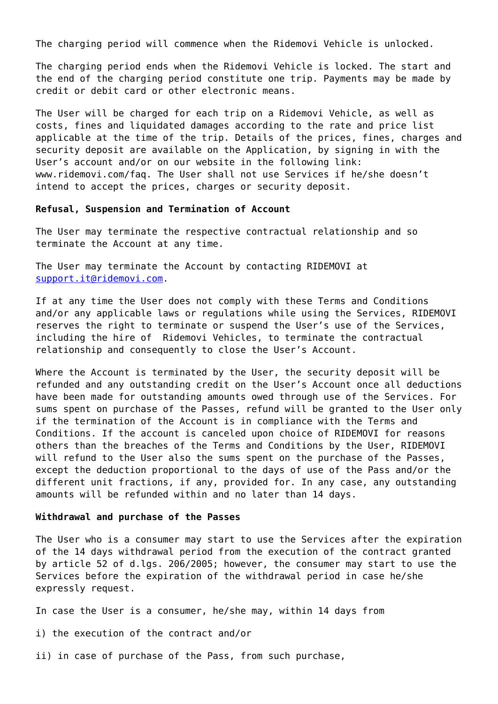The charging period will commence when the Ridemovi Vehicle is unlocked.

The charging period ends when the Ridemovi Vehicle is locked. The start and the end of the charging period constitute one trip. Payments may be made by credit or debit card or other electronic means.

The User will be charged for each trip on a Ridemovi Vehicle, as well as costs, fines and liquidated damages according to the rate and price list applicable at the time of the trip. Details of the prices, fines, charges and security deposit are available on the Application, by signing in with the User's account and/or on our website in the following link: www.ridemovi.com/faq. The User shall not use Services if he/she doesn't intend to accept the prices, charges or security deposit.

## **Refusal, Suspension and Termination of Account**

The User may terminate the respective contractual relationship and so terminate the Account at any time.

The User may terminate the Account by contacting RIDEMOVI at [support.it@ridemovi.com.](mailto:support.it@ridemovi.com)

If at any time the User does not comply with these Terms and Conditions and/or any applicable laws or regulations while using the Services, RIDEMOVI reserves the right to terminate or suspend the User's use of the Services, including the hire of Ridemovi Vehicles, to terminate the contractual relationship and consequently to close the User's Account.

Where the Account is terminated by the User, the security deposit will be refunded and any outstanding credit on the User's Account once all deductions have been made for outstanding amounts owed through use of the Services. For sums spent on purchase of the Passes, refund will be granted to the User only if the termination of the Account is in compliance with the Terms and Conditions. If the account is canceled upon choice of RIDEMOVI for reasons others than the breaches of the Terms and Conditions by the User, RIDEMOVI will refund to the User also the sums spent on the purchase of the Passes, except the deduction proportional to the days of use of the Pass and/or the different unit fractions, if any, provided for. In any case, any outstanding amounts will be refunded within and no later than 14 days.

## **Withdrawal and purchase of the Passes**

The User who is a consumer may start to use the Services after the expiration of the 14 days withdrawal period from the execution of the contract granted by article 52 of d.lgs. 206/2005; however, the consumer may start to use the Services before the expiration of the withdrawal period in case he/she expressly request.

In case the User is a consumer, he/she may, within 14 days from

i) the execution of the contract and/or

ii) in case of purchase of the Pass, from such purchase,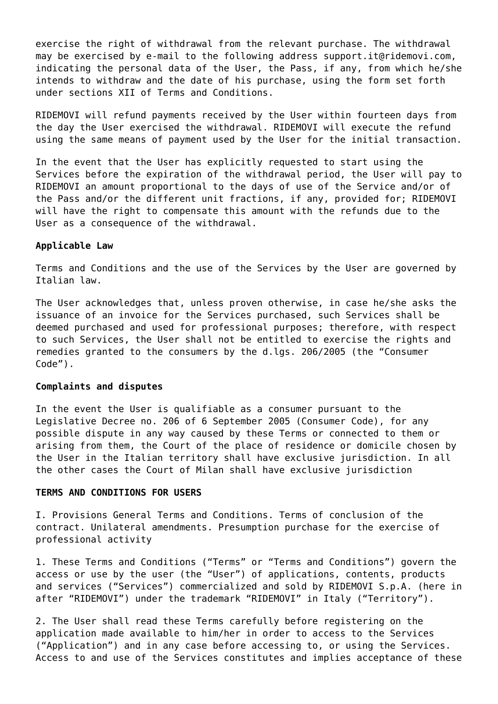exercise the right of withdrawal from the relevant purchase. The withdrawal may be exercised by e-mail to the following address support.it@ridemovi.com, indicating the personal data of the User, the Pass, if any, from which he/she intends to withdraw and the date of his purchase, using the form set forth under sections XII of Terms and Conditions.

RIDEMOVI will refund payments received by the User within fourteen days from the day the User exercised the withdrawal. RIDEMOVI will execute the refund using the same means of payment used by the User for the initial transaction.

In the event that the User has explicitly requested to start using the Services before the expiration of the withdrawal period, the User will pay to RIDEMOVI an amount proportional to the days of use of the Service and/or of the Pass and/or the different unit fractions, if any, provided for; RIDEMOVI will have the right to compensate this amount with the refunds due to the User as a consequence of the withdrawal.

## **Applicable Law**

Terms and Conditions and the use of the Services by the User are governed by Italian law.

The User acknowledges that, unless proven otherwise, in case he/she asks the issuance of an invoice for the Services purchased, such Services shall be deemed purchased and used for professional purposes; therefore, with respect to such Services, the User shall not be entitled to exercise the rights and remedies granted to the consumers by the d.lgs. 206/2005 (the "Consumer Code").

#### **Complaints and disputes**

In the event the User is qualifiable as a consumer pursuant to the Legislative Decree no. 206 of 6 September 2005 (Consumer Code), for any possible dispute in any way caused by these Terms or connected to them or arising from them, the Court of the place of residence or domicile chosen by the User in the Italian territory shall have exclusive jurisdiction. In all the other cases the Court of Milan shall have exclusive jurisdiction

## **TERMS AND CONDITIONS FOR USERS**

I. Provisions General Terms and Conditions. Terms of conclusion of the contract. Unilateral amendments. Presumption purchase for the exercise of professional activity

1. These Terms and Conditions ("Terms" or "Terms and Conditions") govern the access or use by the user (the "User") of applications, contents, products and services ("Services") commercialized and sold by RIDEMOVI S.p.A. (here in after "RIDEMOVI") under the trademark "RIDEMOVI" in Italy ("Territory").

2. The User shall read these Terms carefully before registering on the application made available to him/her in order to access to the Services ("Application") and in any case before accessing to, or using the Services. Access to and use of the Services constitutes and implies acceptance of these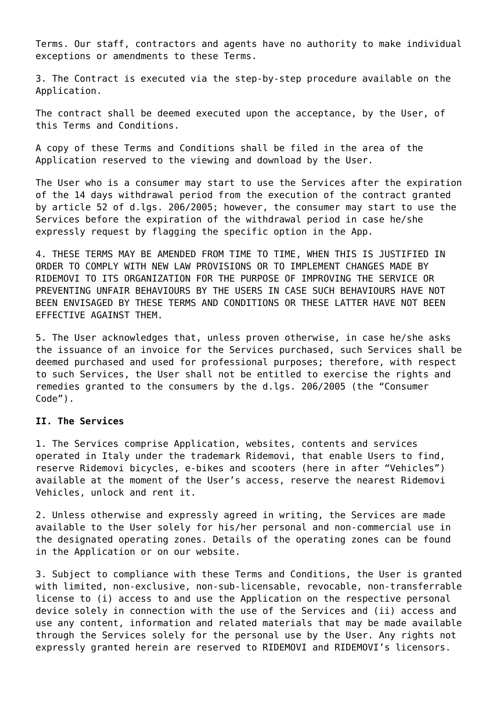Terms. Our staff, contractors and agents have no authority to make individual exceptions or amendments to these Terms.

3. The Contract is executed via the step-by-step procedure available on the Application.

The contract shall be deemed executed upon the acceptance, by the User, of this Terms and Conditions.

A copy of these Terms and Conditions shall be filed in the area of the Application reserved to the viewing and download by the User.

The User who is a consumer may start to use the Services after the expiration of the 14 days withdrawal period from the execution of the contract granted by article 52 of d.lgs. 206/2005; however, the consumer may start to use the Services before the expiration of the withdrawal period in case he/she expressly request by flagging the specific option in the App.

4. THESE TERMS MAY BE AMENDED FROM TIME TO TIME, WHEN THIS IS JUSTIFIED IN ORDER TO COMPLY WITH NEW LAW PROVISIONS OR TO IMPLEMENT CHANGES MADE BY RIDEMOVI TO ITS ORGANIZATION FOR THE PURPOSE OF IMPROVING THE SERVICE OR PREVENTING UNFAIR BEHAVIOURS BY THE USERS IN CASE SUCH BEHAVIOURS HAVE NOT BEEN ENVISAGED BY THESE TERMS AND CONDITIONS OR THESE LATTER HAVE NOT BEEN EFFECTIVE AGAINST THEM.

5. The User acknowledges that, unless proven otherwise, in case he/she asks the issuance of an invoice for the Services purchased, such Services shall be deemed purchased and used for professional purposes; therefore, with respect to such Services, the User shall not be entitled to exercise the rights and remedies granted to the consumers by the d.lgs. 206/2005 (the "Consumer Code").

# **II. The Services**

1. The Services comprise Application, websites, contents and services operated in Italy under the trademark Ridemovi, that enable Users to find, reserve Ridemovi bicycles, e-bikes and scooters (here in after "Vehicles") available at the moment of the User's access, reserve the nearest Ridemovi Vehicles, unlock and rent it.

2. Unless otherwise and expressly agreed in writing, the Services are made available to the User solely for his/her personal and non-commercial use in the designated operating zones. Details of the operating zones can be found in the Application or on our website.

3. Subject to compliance with these Terms and Conditions, the User is granted with limited, non-exclusive, non-sub-licensable, revocable, non-transferrable license to (i) access to and use the Application on the respective personal device solely in connection with the use of the Services and (ii) access and use any content, information and related materials that may be made available through the Services solely for the personal use by the User. Any rights not expressly granted herein are reserved to RIDEMOVI and RIDEMOVI's licensors.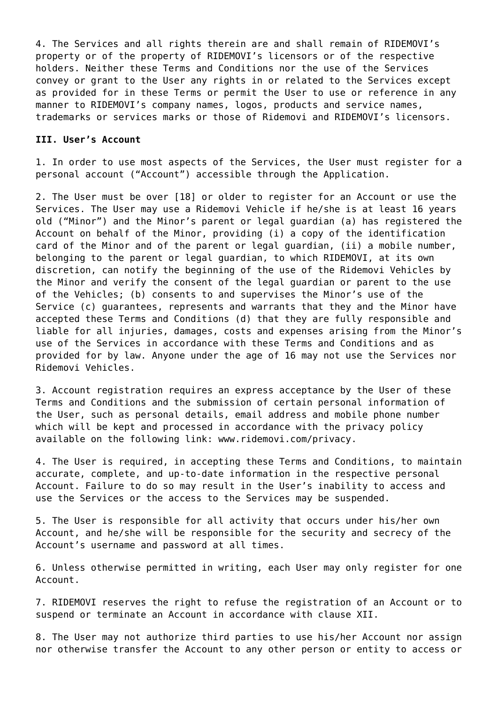4. The Services and all rights therein are and shall remain of RIDEMOVI's property or of the property of RIDEMOVI's licensors or of the respective holders. Neither these Terms and Conditions nor the use of the Services convey or grant to the User any rights in or related to the Services except as provided for in these Terms or permit the User to use or reference in any manner to RIDEMOVI's company names, logos, products and service names, trademarks or services marks or those of Ridemovi and RIDEMOVI's licensors.

#### **III. User's Account**

1. In order to use most aspects of the Services, the User must register for a personal account ("Account") accessible through the Application.

2. The User must be over [18] or older to register for an Account or use the Services. The User may use a Ridemovi Vehicle if he/she is at least 16 years old ("Minor") and the Minor's parent or legal guardian (a) has registered the Account on behalf of the Minor, providing (i) a copy of the identification card of the Minor and of the parent or legal guardian, (ii) a mobile number, belonging to the parent or legal guardian, to which RIDEMOVI, at its own discretion, can notify the beginning of the use of the Ridemovi Vehicles by the Minor and verify the consent of the legal guardian or parent to the use of the Vehicles; (b) consents to and supervises the Minor's use of the Service (c) guarantees, represents and warrants that they and the Minor have accepted these Terms and Conditions (d) that they are fully responsible and liable for all injuries, damages, costs and expenses arising from the Minor's use of the Services in accordance with these Terms and Conditions and as provided for by law. Anyone under the age of 16 may not use the Services nor Ridemovi Vehicles.

3. Account registration requires an express acceptance by the User of these Terms and Conditions and the submission of certain personal information of the User, such as personal details, email address and mobile phone number which will be kept and processed in accordance with the privacy policy available on the following link: www.ridemovi.com/privacy.

4. The User is required, in accepting these Terms and Conditions, to maintain accurate, complete, and up-to-date information in the respective personal Account. Failure to do so may result in the User's inability to access and use the Services or the access to the Services may be suspended.

5. The User is responsible for all activity that occurs under his/her own Account, and he/she will be responsible for the security and secrecy of the Account's username and password at all times.

6. Unless otherwise permitted in writing, each User may only register for one Account.

7. RIDEMOVI reserves the right to refuse the registration of an Account or to suspend or terminate an Account in accordance with clause XII.

8. The User may not authorize third parties to use his/her Account nor assign nor otherwise transfer the Account to any other person or entity to access or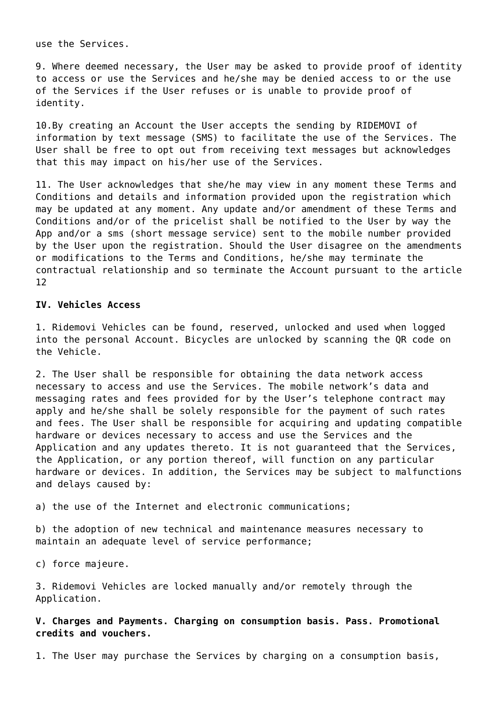use the Services.

9. Where deemed necessary, the User may be asked to provide proof of identity to access or use the Services and he/she may be denied access to or the use of the Services if the User refuses or is unable to provide proof of identity.

10.By creating an Account the User accepts the sending by RIDEMOVI of information by text message (SMS) to facilitate the use of the Services. The User shall be free to opt out from receiving text messages but acknowledges that this may impact on his/her use of the Services.

11. The User acknowledges that she/he may view in any moment these Terms and Conditions and details and information provided upon the registration which may be updated at any moment. Any update and/or amendment of these Terms and Conditions and/or of the pricelist shall be notified to the User by way the App and/or a sms (short message service) sent to the mobile number provided by the User upon the registration. Should the User disagree on the amendments or modifications to the Terms and Conditions, he/she may terminate the contractual relationship and so terminate the Account pursuant to the article 12

## **IV. Vehicles Access**

1. Ridemovi Vehicles can be found, reserved, unlocked and used when logged into the personal Account. Bicycles are unlocked by scanning the QR code on the Vehicle.

2. The User shall be responsible for obtaining the data network access necessary to access and use the Services. The mobile network's data and messaging rates and fees provided for by the User's telephone contract may apply and he/she shall be solely responsible for the payment of such rates and fees. The User shall be responsible for acquiring and updating compatible hardware or devices necessary to access and use the Services and the Application and any updates thereto. It is not guaranteed that the Services, the Application, or any portion thereof, will function on any particular hardware or devices. In addition, the Services may be subject to malfunctions and delays caused by:

a) the use of the Internet and electronic communications;

b) the adoption of new technical and maintenance measures necessary to maintain an adequate level of service performance;

c) force majeure.

3. Ridemovi Vehicles are locked manually and/or remotely through the Application.

**V. Charges and Payments. Charging on consumption basis. Pass. Promotional credits and vouchers.**

1. The User may purchase the Services by charging on a consumption basis,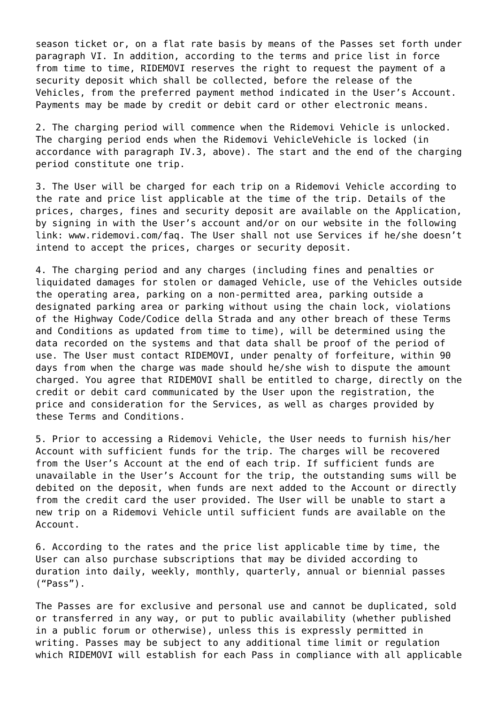season ticket or, on a flat rate basis by means of the Passes set forth under paragraph VI. In addition, according to the terms and price list in force from time to time, RIDEMOVI reserves the right to request the payment of a security deposit which shall be collected, before the release of the Vehicles, from the preferred payment method indicated in the User's Account. Payments may be made by credit or debit card or other electronic means.

2. The charging period will commence when the Ridemovi Vehicle is unlocked. The charging period ends when the Ridemovi VehicleVehicle is locked (in accordance with paragraph IV.3, above). The start and the end of the charging period constitute one trip.

3. The User will be charged for each trip on a Ridemovi Vehicle according to the rate and price list applicable at the time of the trip. Details of the prices, charges, fines and security deposit are available on the Application, by signing in with the User's account and/or on our website in the following link: www.ridemovi.com/faq. The User shall not use Services if he/she doesn't intend to accept the prices, charges or security deposit.

4. The charging period and any charges (including fines and penalties or liquidated damages for stolen or damaged Vehicle, use of the Vehicles outside the operating area, parking on a non-permitted area, parking outside a designated parking area or parking without using the chain lock, violations of the Highway Code/Codice della Strada and any other breach of these Terms and Conditions as updated from time to time), will be determined using the data recorded on the systems and that data shall be proof of the period of use. The User must contact RIDEMOVI, under penalty of forfeiture, within 90 days from when the charge was made should he/she wish to dispute the amount charged. You agree that RIDEMOVI shall be entitled to charge, directly on the credit or debit card communicated by the User upon the registration, the price and consideration for the Services, as well as charges provided by these Terms and Conditions.

5. Prior to accessing a Ridemovi Vehicle, the User needs to furnish his/her Account with sufficient funds for the trip. The charges will be recovered from the User's Account at the end of each trip. If sufficient funds are unavailable in the User's Account for the trip, the outstanding sums will be debited on the deposit, when funds are next added to the Account or directly from the credit card the user provided. The User will be unable to start a new trip on a Ridemovi Vehicle until sufficient funds are available on the Account.

6. According to the rates and the price list applicable time by time, the User can also purchase subscriptions that may be divided according to duration into daily, weekly, monthly, quarterly, annual or biennial passes ("Pass").

The Passes are for exclusive and personal use and cannot be duplicated, sold or transferred in any way, or put to public availability (whether published in a public forum or otherwise), unless this is expressly permitted in writing. Passes may be subject to any additional time limit or regulation which RIDEMOVI will establish for each Pass in compliance with all applicable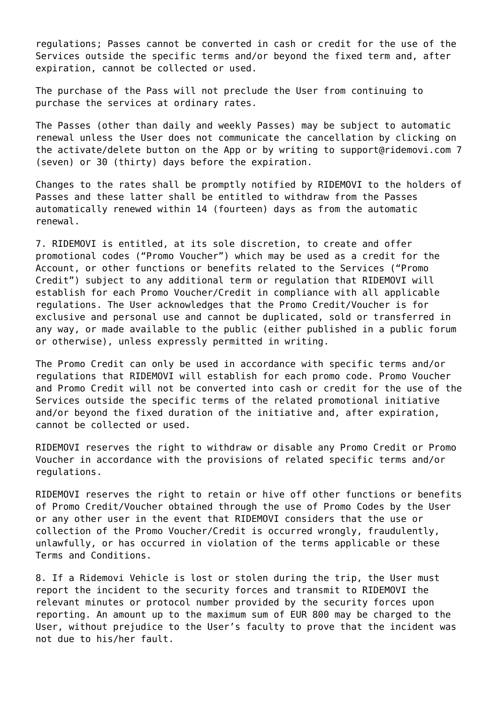regulations; Passes cannot be converted in cash or credit for the use of the Services outside the specific terms and/or beyond the fixed term and, after expiration, cannot be collected or used.

The purchase of the Pass will not preclude the User from continuing to purchase the services at ordinary rates.

The Passes (other than daily and weekly Passes) may be subject to automatic renewal unless the User does not communicate the cancellation by clicking on the activate/delete button on the App or by writing to support@ridemovi.com 7 (seven) or 30 (thirty) days before the expiration.

Changes to the rates shall be promptly notified by RIDEMOVI to the holders of Passes and these latter shall be entitled to withdraw from the Passes automatically renewed within 14 (fourteen) days as from the automatic renewal.

7. RIDEMOVI is entitled, at its sole discretion, to create and offer promotional codes ("Promo Voucher") which may be used as a credit for the Account, or other functions or benefits related to the Services ("Promo Credit") subject to any additional term or regulation that RIDEMOVI will establish for each Promo Voucher/Credit in compliance with all applicable regulations. The User acknowledges that the Promo Credit/Voucher is for exclusive and personal use and cannot be duplicated, sold or transferred in any way, or made available to the public (either published in a public forum or otherwise), unless expressly permitted in writing.

The Promo Credit can only be used in accordance with specific terms and/or regulations that RIDEMOVI will establish for each promo code. Promo Voucher and Promo Credit will not be converted into cash or credit for the use of the Services outside the specific terms of the related promotional initiative and/or beyond the fixed duration of the initiative and, after expiration, cannot be collected or used.

RIDEMOVI reserves the right to withdraw or disable any Promo Credit or Promo Voucher in accordance with the provisions of related specific terms and/or regulations.

RIDEMOVI reserves the right to retain or hive off other functions or benefits of Promo Credit/Voucher obtained through the use of Promo Codes by the User or any other user in the event that RIDEMOVI considers that the use or collection of the Promo Voucher/Credit is occurred wrongly, fraudulently, unlawfully, or has occurred in violation of the terms applicable or these Terms and Conditions.

8. If a Ridemovi Vehicle is lost or stolen during the trip, the User must report the incident to the security forces and transmit to RIDEMOVI the relevant minutes or protocol number provided by the security forces upon reporting. An amount up to the maximum sum of EUR 800 may be charged to the User, without prejudice to the User's faculty to prove that the incident was not due to his/her fault.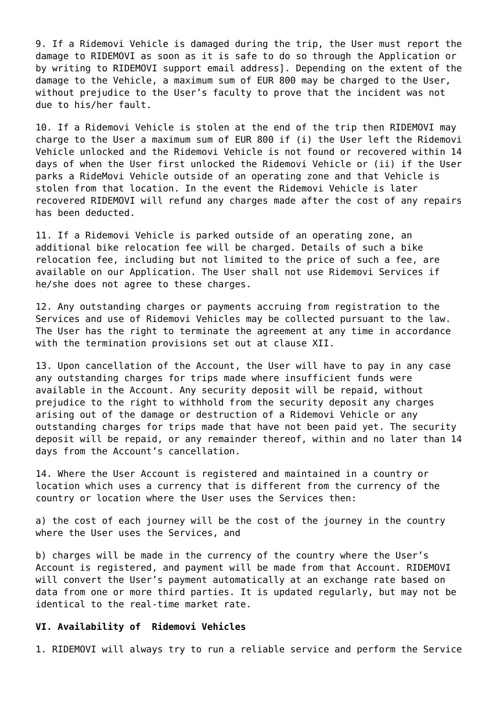9. If a Ridemovi Vehicle is damaged during the trip, the User must report the damage to RIDEMOVI as soon as it is safe to do so through the Application or by writing to RIDEMOVI support email address]. Depending on the extent of the damage to the Vehicle, a maximum sum of EUR 800 may be charged to the User, without prejudice to the User's faculty to prove that the incident was not due to his/her fault.

10. If a Ridemovi Vehicle is stolen at the end of the trip then RIDEMOVI may charge to the User a maximum sum of EUR 800 if (i) the User left the Ridemovi Vehicle unlocked and the Ridemovi Vehicle is not found or recovered within 14 days of when the User first unlocked the Ridemovi Vehicle or (ii) if the User parks a RideMovi Vehicle outside of an operating zone and that Vehicle is stolen from that location. In the event the Ridemovi Vehicle is later recovered RIDEMOVI will refund any charges made after the cost of any repairs has been deducted.

11. If a Ridemovi Vehicle is parked outside of an operating zone, an additional bike relocation fee will be charged. Details of such a bike relocation fee, including but not limited to the price of such a fee, are available on our Application. The User shall not use Ridemovi Services if he/she does not agree to these charges.

12. Any outstanding charges or payments accruing from registration to the Services and use of Ridemovi Vehicles may be collected pursuant to the law. The User has the right to terminate the agreement at any time in accordance with the termination provisions set out at clause XII.

13. Upon cancellation of the Account, the User will have to pay in any case any outstanding charges for trips made where insufficient funds were available in the Account. Any security deposit will be repaid, without prejudice to the right to withhold from the security deposit any charges arising out of the damage or destruction of a Ridemovi Vehicle or any outstanding charges for trips made that have not been paid yet. The security deposit will be repaid, or any remainder thereof, within and no later than 14 days from the Account's cancellation.

14. Where the User Account is registered and maintained in a country or location which uses a currency that is different from the currency of the country or location where the User uses the Services then:

a) the cost of each journey will be the cost of the journey in the country where the User uses the Services, and

b) charges will be made in the currency of the country where the User's Account is registered, and payment will be made from that Account. RIDEMOVI will convert the User's payment automatically at an exchange rate based on data from one or more third parties. It is updated regularly, but may not be identical to the real-time market rate.

## **VI. Availability of Ridemovi Vehicles**

1. RIDEMOVI will always try to run a reliable service and perform the Service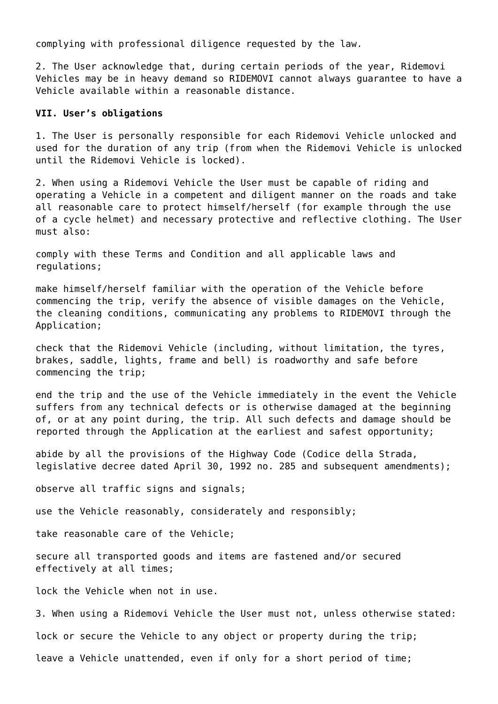complying with professional diligence requested by the law.

2. The User acknowledge that, during certain periods of the year, Ridemovi Vehicles may be in heavy demand so RIDEMOVI cannot always guarantee to have a Vehicle available within a reasonable distance.

## **VII. User's obligations**

1. The User is personally responsible for each Ridemovi Vehicle unlocked and used for the duration of any trip (from when the Ridemovi Vehicle is unlocked until the Ridemovi Vehicle is locked).

2. When using a Ridemovi Vehicle the User must be capable of riding and operating a Vehicle in a competent and diligent manner on the roads and take all reasonable care to protect himself/herself (for example through the use of a cycle helmet) and necessary protective and reflective clothing. The User must also:

comply with these Terms and Condition and all applicable laws and regulations;

make himself/herself familiar with the operation of the Vehicle before commencing the trip, verify the absence of visible damages on the Vehicle, the cleaning conditions, communicating any problems to RIDEMOVI through the Application;

check that the Ridemovi Vehicle (including, without limitation, the tyres, brakes, saddle, lights, frame and bell) is roadworthy and safe before commencing the trip;

end the trip and the use of the Vehicle immediately in the event the Vehicle suffers from any technical defects or is otherwise damaged at the beginning of, or at any point during, the trip. All such defects and damage should be reported through the Application at the earliest and safest opportunity;

abide by all the provisions of the Highway Code (Codice della Strada, legislative decree dated April 30, 1992 no. 285 and subsequent amendments);

observe all traffic signs and signals;

use the Vehicle reasonably, considerately and responsibly;

take reasonable care of the Vehicle;

secure all transported goods and items are fastened and/or secured effectively at all times;

lock the Vehicle when not in use.

3. When using a Ridemovi Vehicle the User must not, unless otherwise stated:

lock or secure the Vehicle to any object or property during the trip;

leave a Vehicle unattended, even if only for a short period of time;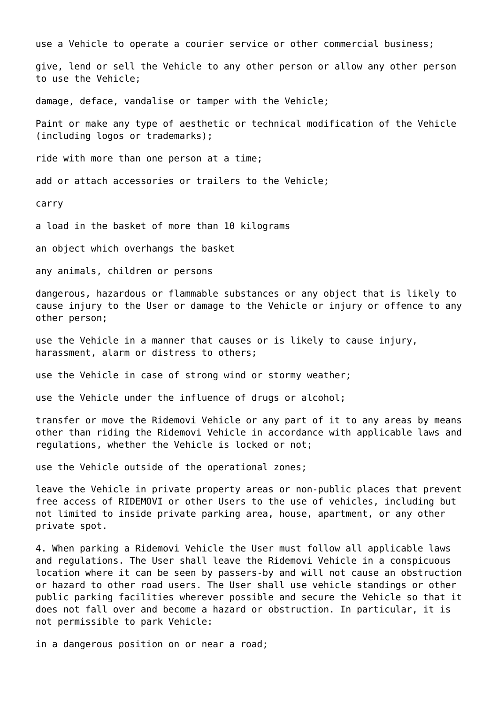use a Vehicle to operate a courier service or other commercial business;

give, lend or sell the Vehicle to any other person or allow any other person to use the Vehicle;

damage, deface, vandalise or tamper with the Vehicle;

Paint or make any type of aesthetic or technical modification of the Vehicle (including logos or trademarks);

ride with more than one person at a time;

add or attach accessories or trailers to the Vehicle;

carry

a load in the basket of more than 10 kilograms

an object which overhangs the basket

any animals, children or persons

dangerous, hazardous or flammable substances or any object that is likely to cause injury to the User or damage to the Vehicle or injury or offence to any other person;

use the Vehicle in a manner that causes or is likely to cause injury, harassment, alarm or distress to others;

use the Vehicle in case of strong wind or stormy weather;

use the Vehicle under the influence of drugs or alcohol;

transfer or move the Ridemovi Vehicle or any part of it to any areas by means other than riding the Ridemovi Vehicle in accordance with applicable laws and regulations, whether the Vehicle is locked or not;

use the Vehicle outside of the operational zones;

leave the Vehicle in private property areas or non-public places that prevent free access of RIDEMOVI or other Users to the use of vehicles, including but not limited to inside private parking area, house, apartment, or any other private spot.

4. When parking a Ridemovi Vehicle the User must follow all applicable laws and regulations. The User shall leave the Ridemovi Vehicle in a conspicuous location where it can be seen by passers-by and will not cause an obstruction or hazard to other road users. The User shall use vehicle standings or other public parking facilities wherever possible and secure the Vehicle so that it does not fall over and become a hazard or obstruction. In particular, it is not permissible to park Vehicle:

in a dangerous position on or near a road;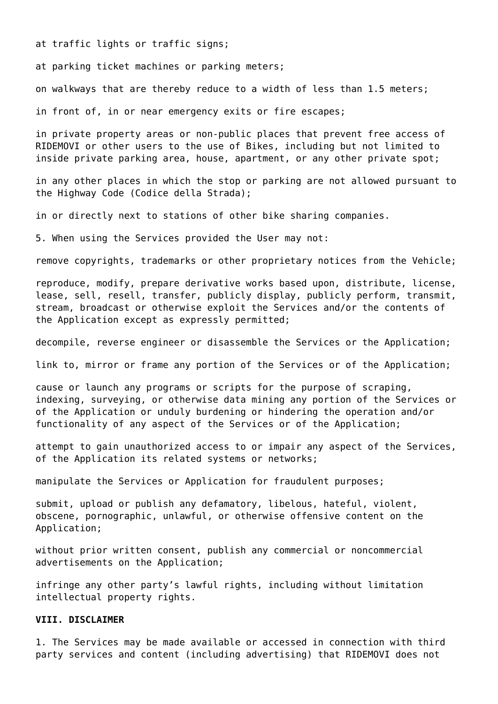at traffic lights or traffic signs;

at parking ticket machines or parking meters;

on walkways that are thereby reduce to a width of less than 1.5 meters;

in front of, in or near emergency exits or fire escapes;

in private property areas or non-public places that prevent free access of RIDEMOVI or other users to the use of Bikes, including but not limited to inside private parking area, house, apartment, or any other private spot;

in any other places in which the stop or parking are not allowed pursuant to the Highway Code (Codice della Strada);

in or directly next to stations of other bike sharing companies.

5. When using the Services provided the User may not:

remove copyrights, trademarks or other proprietary notices from the Vehicle;

reproduce, modify, prepare derivative works based upon, distribute, license, lease, sell, resell, transfer, publicly display, publicly perform, transmit, stream, broadcast or otherwise exploit the Services and/or the contents of the Application except as expressly permitted;

decompile, reverse engineer or disassemble the Services or the Application;

link to, mirror or frame any portion of the Services or of the Application;

cause or launch any programs or scripts for the purpose of scraping, indexing, surveying, or otherwise data mining any portion of the Services or of the Application or unduly burdening or hindering the operation and/or functionality of any aspect of the Services or of the Application;

attempt to gain unauthorized access to or impair any aspect of the Services, of the Application its related systems or networks;

manipulate the Services or Application for fraudulent purposes;

submit, upload or publish any defamatory, libelous, hateful, violent, obscene, pornographic, unlawful, or otherwise offensive content on the Application;

without prior written consent, publish any commercial or noncommercial advertisements on the Application;

infringe any other party's lawful rights, including without limitation intellectual property rights.

## **VIII. DISCLAIMER**

1. The Services may be made available or accessed in connection with third party services and content (including advertising) that RIDEMOVI does not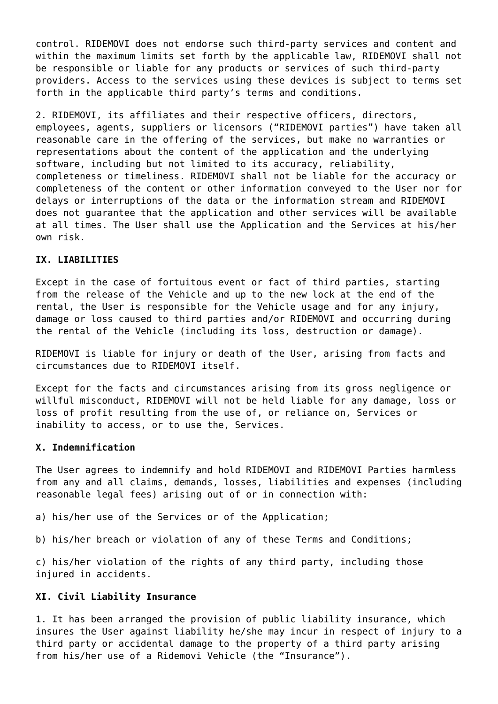control. RIDEMOVI does not endorse such third-party services and content and within the maximum limits set forth by the applicable law, RIDEMOVI shall not be responsible or liable for any products or services of such third-party providers. Access to the services using these devices is subject to terms set forth in the applicable third party's terms and conditions.

2. RIDEMOVI, its affiliates and their respective officers, directors, employees, agents, suppliers or licensors ("RIDEMOVI parties") have taken all reasonable care in the offering of the services, but make no warranties or representations about the content of the application and the underlying software, including but not limited to its accuracy, reliability, completeness or timeliness. RIDEMOVI shall not be liable for the accuracy or completeness of the content or other information conveyed to the User nor for delays or interruptions of the data or the information stream and RIDEMOVI does not guarantee that the application and other services will be available at all times. The User shall use the Application and the Services at his/her own risk.

## **IX. LIABILITIES**

Except in the case of fortuitous event or fact of third parties, starting from the release of the Vehicle and up to the new lock at the end of the rental, the User is responsible for the Vehicle usage and for any injury, damage or loss caused to third parties and/or RIDEMOVI and occurring during the rental of the Vehicle (including its loss, destruction or damage).

RIDEMOVI is liable for injury or death of the User, arising from facts and circumstances due to RIDEMOVI itself.

Except for the facts and circumstances arising from its gross negligence or willful misconduct, RIDEMOVI will not be held liable for any damage, loss or loss of profit resulting from the use of, or reliance on, Services or inability to access, or to use the, Services.

## **X. Indemnification**

The User agrees to indemnify and hold RIDEMOVI and RIDEMOVI Parties harmless from any and all claims, demands, losses, liabilities and expenses (including reasonable legal fees) arising out of or in connection with:

a) his/her use of the Services or of the Application;

b) his/her breach or violation of any of these Terms and Conditions;

c) his/her violation of the rights of any third party, including those injured in accidents.

# **XI. Civil Liability Insurance**

1. It has been arranged the provision of public liability insurance, which insures the User against liability he/she may incur in respect of injury to a third party or accidental damage to the property of a third party arising from his/her use of a Ridemovi Vehicle (the "Insurance").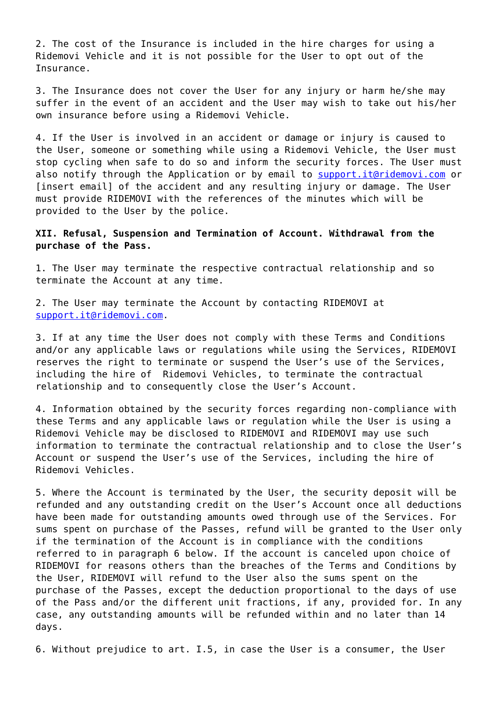2. The cost of the Insurance is included in the hire charges for using a Ridemovi Vehicle and it is not possible for the User to opt out of the Insurance.

3. The Insurance does not cover the User for any injury or harm he/she may suffer in the event of an accident and the User may wish to take out his/her own insurance before using a Ridemovi Vehicle.

4. If the User is involved in an accident or damage or injury is caused to the User, someone or something while using a Ridemovi Vehicle, the User must stop cycling when safe to do so and inform the security forces. The User must also notify through the Application or by email to [support.it@ridemovi.com](mailto:support.it@ridemovi.com) or [insert email] of the accident and any resulting injury or damage. The User must provide RIDEMOVI with the references of the minutes which will be provided to the User by the police.

# **XII. Refusal, Suspension and Termination of Account. Withdrawal from the purchase of the Pass.**

1. The User may terminate the respective contractual relationship and so terminate the Account at any time.

2. The User may terminate the Account by contacting RIDEMOVI at [support.it@ridemovi.com.](mailto:support.it@ridemovi.com)

3. If at any time the User does not comply with these Terms and Conditions and/or any applicable laws or regulations while using the Services, RIDEMOVI reserves the right to terminate or suspend the User's use of the Services, including the hire of Ridemovi Vehicles, to terminate the contractual relationship and to consequently close the User's Account.

4. Information obtained by the security forces regarding non-compliance with these Terms and any applicable laws or regulation while the User is using a Ridemovi Vehicle may be disclosed to RIDEMOVI and RIDEMOVI may use such information to terminate the contractual relationship and to close the User's Account or suspend the User's use of the Services, including the hire of Ridemovi Vehicles.

5. Where the Account is terminated by the User, the security deposit will be refunded and any outstanding credit on the User's Account once all deductions have been made for outstanding amounts owed through use of the Services. For sums spent on purchase of the Passes, refund will be granted to the User only if the termination of the Account is in compliance with the conditions referred to in paragraph 6 below. If the account is canceled upon choice of RIDEMOVI for reasons others than the breaches of the Terms and Conditions by the User, RIDEMOVI will refund to the User also the sums spent on the purchase of the Passes, except the deduction proportional to the days of use of the Pass and/or the different unit fractions, if any, provided for. In any case, any outstanding amounts will be refunded within and no later than 14 days.

6. Without prejudice to art. I.5, in case the User is a consumer, the User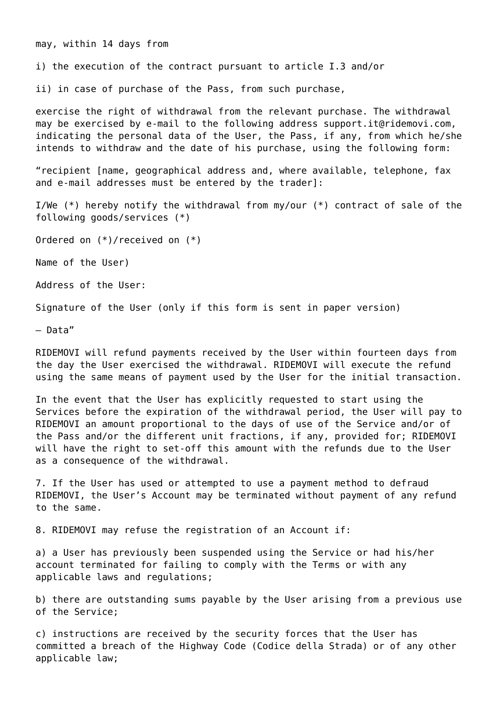may, within 14 days from

i) the execution of the contract pursuant to article I.3 and/or

ii) in case of purchase of the Pass, from such purchase,

exercise the right of withdrawal from the relevant purchase. The withdrawal may be exercised by e-mail to the following address support.it@ridemovi.com, indicating the personal data of the User, the Pass, if any, from which he/she intends to withdraw and the date of his purchase, using the following form:

"recipient [name, geographical address and, where available, telephone, fax and e-mail addresses must be entered by the trader]:

I/We (\*) hereby notify the withdrawal from my/our (\*) contract of sale of the following goods/services (\*)

Ordered on (\*)/received on (\*)

Name of the User)

Address of the User:

Signature of the User (only if this form is sent in paper version)

– Data"

RIDEMOVI will refund payments received by the User within fourteen days from the day the User exercised the withdrawal. RIDEMOVI will execute the refund using the same means of payment used by the User for the initial transaction.

In the event that the User has explicitly requested to start using the Services before the expiration of the withdrawal period, the User will pay to RIDEMOVI an amount proportional to the days of use of the Service and/or of the Pass and/or the different unit fractions, if any, provided for; RIDEMOVI will have the right to set-off this amount with the refunds due to the User as a consequence of the withdrawal.

7. If the User has used or attempted to use a payment method to defraud RIDEMOVI, the User's Account may be terminated without payment of any refund to the same.

8. RIDEMOVI may refuse the registration of an Account if:

a) a User has previously been suspended using the Service or had his/her account terminated for failing to comply with the Terms or with any applicable laws and regulations;

b) there are outstanding sums payable by the User arising from a previous use of the Service;

c) instructions are received by the security forces that the User has committed a breach of the Highway Code (Codice della Strada) or of any other applicable law;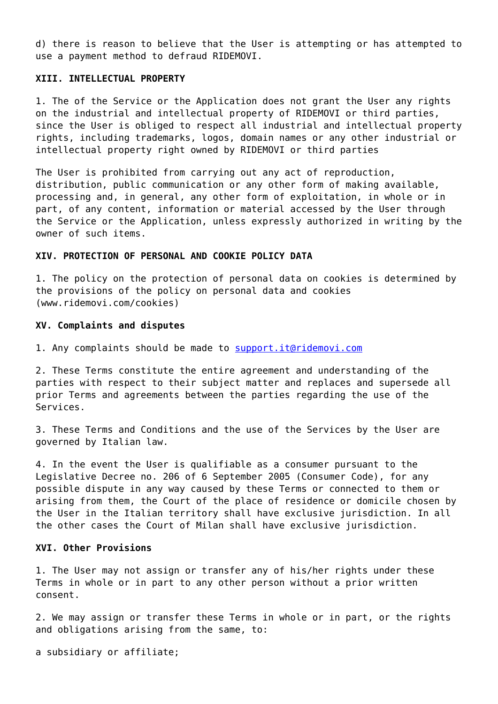d) there is reason to believe that the User is attempting or has attempted to use a payment method to defraud RIDEMOVI.

## **XIII. INTELLECTUAL PROPERTY**

1. The of the Service or the Application does not grant the User any rights on the industrial and intellectual property of RIDEMOVI or third parties, since the User is obliged to respect all industrial and intellectual property rights, including trademarks, logos, domain names or any other industrial or intellectual property right owned by RIDEMOVI or third parties

The User is prohibited from carrying out any act of reproduction, distribution, public communication or any other form of making available, processing and, in general, any other form of exploitation, in whole or in part, of any content, information or material accessed by the User through the Service or the Application, unless expressly authorized in writing by the owner of such items.

## **XIV. PROTECTION OF PERSONAL AND COOKIE POLICY DATA**

1. The policy on the protection of personal data on cookies is determined by the provisions of the policy on personal data and cookies (www.ridemovi.com/cookies)

#### **XV. Complaints and disputes**

1. Any complaints should be made to [support.it@ridemovi.com](mailto:support.it@ridemovi.com)

2. These Terms constitute the entire agreement and understanding of the parties with respect to their subject matter and replaces and supersede all prior Terms and agreements between the parties regarding the use of the Services.

3. These Terms and Conditions and the use of the Services by the User are governed by Italian law.

4. In the event the User is qualifiable as a consumer pursuant to the Legislative Decree no. 206 of 6 September 2005 (Consumer Code), for any possible dispute in any way caused by these Terms or connected to them or arising from them, the Court of the place of residence or domicile chosen by the User in the Italian territory shall have exclusive jurisdiction. In all the other cases the Court of Milan shall have exclusive jurisdiction.

## **XVI. Other Provisions**

1. The User may not assign or transfer any of his/her rights under these Terms in whole or in part to any other person without a prior written consent.

2. We may assign or transfer these Terms in whole or in part, or the rights and obligations arising from the same, to:

a subsidiary or affiliate;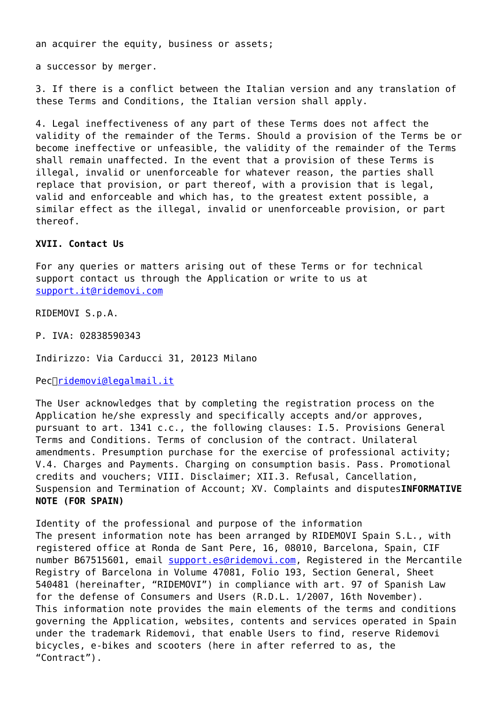an acquirer the equity, business or assets;

a successor by merger.

3. If there is a conflict between the Italian version and any translation of these Terms and Conditions, the Italian version shall apply.

4. Legal ineffectiveness of any part of these Terms does not affect the validity of the remainder of the Terms. Should a provision of the Terms be or become ineffective or unfeasible, the validity of the remainder of the Terms shall remain unaffected. In the event that a provision of these Terms is illegal, invalid or unenforceable for whatever reason, the parties shall replace that provision, or part thereof, with a provision that is legal, valid and enforceable and which has, to the greatest extent possible, a similar effect as the illegal, invalid or unenforceable provision, or part thereof.

# **XVII. Contact Us**

For any queries or matters arising out of these Terms or for technical support contact us through the Application or write to us at [support.it@ridemovi.com](mailto:support.it@ridemovi.com)

RIDEMOVI S.p.A.

P. IVA: 02838590343

Indirizzo: Via Carducci 31, 20123 Milano

Pec $\Box$ ridemovi@legalmail.it

The User acknowledges that by completing the registration process on the Application he/she expressly and specifically accepts and/or approves, pursuant to art. 1341 c.c., the following clauses: I.5. Provisions General Terms and Conditions. Terms of conclusion of the contract. Unilateral amendments. Presumption purchase for the exercise of professional activity; V.4. Charges and Payments. Charging on consumption basis. Pass. Promotional credits and vouchers; VIII. Disclaimer; XII.3. Refusal, Cancellation, Suspension and Termination of Account; XV. Complaints and disputes**INFORMATIVE NOTE (FOR SPAIN)**

Identity of the professional and purpose of the information The present information note has been arranged by RIDEMOVI Spain S.L., with registered office at Ronda de Sant Pere, 16, 08010, Barcelona, Spain, CIF number B67515601, email [support.es@ridemovi.com,](mailto:support.es@ridemovi.com) Registered in the Mercantile Registry of Barcelona in Volume 47081, Folio 193, Section General, Sheet 540481 (hereinafter, "RIDEMOVI") in compliance with art. 97 of Spanish Law for the defense of Consumers and Users (R.D.L. 1/2007, 16th November). This information note provides the main elements of the terms and conditions governing the Application, websites, contents and services operated in Spain under the trademark Ridemovi, that enable Users to find, reserve Ridemovi bicycles, e-bikes and scooters (here in after referred to as, the "Contract").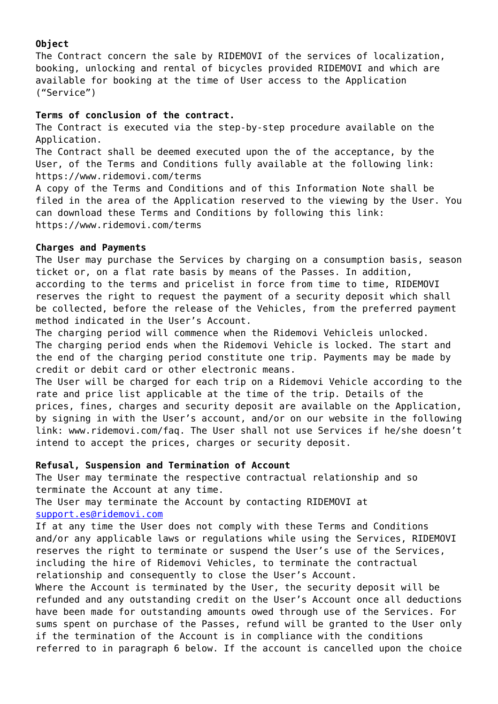# **Object**

The Contract concern the sale by RIDEMOVI of the services of localization, booking, unlocking and rental of bicycles provided RIDEMOVI and which are available for booking at the time of User access to the Application ("Service")

# **Terms of conclusion of the contract.**

The Contract is executed via the step-by-step procedure available on the Application.

The Contract shall be deemed executed upon the of the acceptance, by the User, of the Terms and Conditions fully available at the following link: https://www.ridemovi.com/terms

A copy of the Terms and Conditions and of this Information Note shall be filed in the area of the Application reserved to the viewing by the User. You can download these Terms and Conditions by following this link: https://www.ridemovi.com/terms

# **Charges and Payments**

The User may purchase the Services by charging on a consumption basis, season ticket or, on a flat rate basis by means of the Passes. In addition, according to the terms and pricelist in force from time to time, RIDEMOVI reserves the right to request the payment of a security deposit which shall be collected, before the release of the Vehicles, from the preferred payment method indicated in the User's Account.

The charging period will commence when the Ridemovi Vehicleis unlocked. The charging period ends when the Ridemovi Vehicle is locked. The start and the end of the charging period constitute one trip. Payments may be made by credit or debit card or other electronic means.

The User will be charged for each trip on a Ridemovi Vehicle according to the rate and price list applicable at the time of the trip. Details of the prices, fines, charges and security deposit are available on the Application, by signing in with the User's account, and/or on our website in the following link: www.ridemovi.com/faq. The User shall not use Services if he/she doesn't intend to accept the prices, charges or security deposit.

# **Refusal, Suspension and Termination of Account**

The User may terminate the respective contractual relationship and so terminate the Account at any time.

The User may terminate the Account by contacting RIDEMOVI at [support.es@ridemovi.com](mailto:support.es@ridemovi.com)

If at any time the User does not comply with these Terms and Conditions and/or any applicable laws or regulations while using the Services, RIDEMOVI reserves the right to terminate or suspend the User's use of the Services, including the hire of Ridemovi Vehicles, to terminate the contractual relationship and consequently to close the User's Account.

Where the Account is terminated by the User, the security deposit will be refunded and any outstanding credit on the User's Account once all deductions have been made for outstanding amounts owed through use of the Services. For sums spent on purchase of the Passes, refund will be granted to the User only if the termination of the Account is in compliance with the conditions referred to in paragraph 6 below. If the account is cancelled upon the choice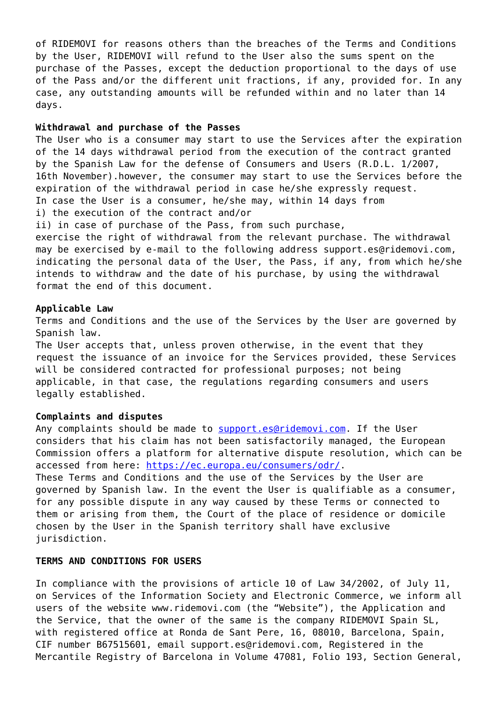of RIDEMOVI for reasons others than the breaches of the Terms and Conditions by the User, RIDEMOVI will refund to the User also the sums spent on the purchase of the Passes, except the deduction proportional to the days of use of the Pass and/or the different unit fractions, if any, provided for. In any case, any outstanding amounts will be refunded within and no later than 14 days.

#### **Withdrawal and purchase of the Passes**

The User who is a consumer may start to use the Services after the expiration of the 14 days withdrawal period from the execution of the contract granted by the Spanish Law for the defense of Consumers and Users (R.D.L. 1/2007, 16th November).however, the consumer may start to use the Services before the expiration of the withdrawal period in case he/she expressly request. In case the User is a consumer, he/she may, within 14 days from

i) the execution of the contract and/or

ii) in case of purchase of the Pass, from such purchase,

exercise the right of withdrawal from the relevant purchase. The withdrawal may be exercised by e-mail to the following address support.es@ridemovi.com, indicating the personal data of the User, the Pass, if any, from which he/she intends to withdraw and the date of his purchase, by using the withdrawal format the end of this document.

## **Applicable Law**

Terms and Conditions and the use of the Services by the User are governed by Spanish law.

The User accepts that, unless proven otherwise, in the event that they request the issuance of an invoice for the Services provided, these Services will be considered contracted for professional purposes; not being applicable, in that case, the regulations regarding consumers and users legally established.

#### **Complaints and disputes**

Any complaints should be made to [support.es@ridemovi.com](mailto:support.es@ridemovi.com). If the User considers that his claim has not been satisfactorily managed, the European Commission offers a platform for alternative dispute resolution, which can be accessed from here: [https://ec.europa.eu/consumers/odr/.](https://ec.europa.eu/consumers/odr/)

These Terms and Conditions and the use of the Services by the User are governed by Spanish law. In the event the User is qualifiable as a consumer, for any possible dispute in any way caused by these Terms or connected to them or arising from them, the Court of the place of residence or domicile chosen by the User in the Spanish territory shall have exclusive jurisdiction.

#### **TERMS AND CONDITIONS FOR USERS**

In compliance with the provisions of article 10 of Law 34/2002, of July 11, on Services of the Information Society and Electronic Commerce, we inform all users of the website www.ridemovi.com (the "Website"), the Application and the Service, that the owner of the same is the company RIDEMOVI Spain SL, with registered office at Ronda de Sant Pere, 16, 08010, Barcelona, Spain, CIF number B67515601, email support.es@ridemovi.com, Registered in the Mercantile Registry of Barcelona in Volume 47081, Folio 193, Section General,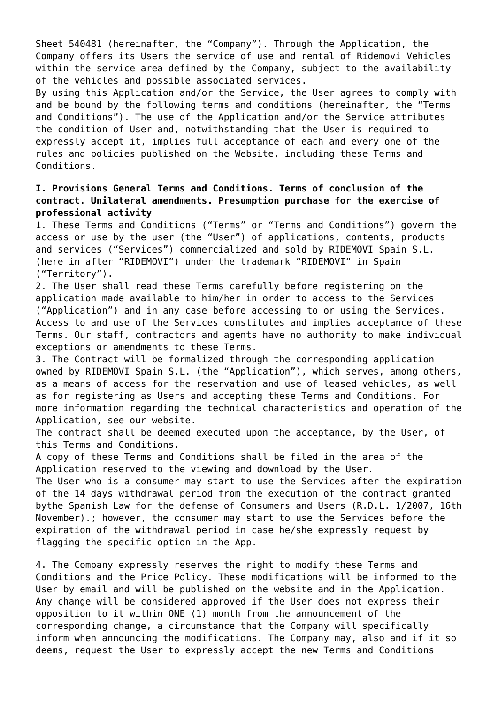Sheet 540481 (hereinafter, the "Company"). Through the Application, the Company offers its Users the service of use and rental of Ridemovi Vehicles within the service area defined by the Company, subject to the availability of the vehicles and possible associated services.

By using this Application and/or the Service, the User agrees to comply with and be bound by the following terms and conditions (hereinafter, the "Terms and Conditions"). The use of the Application and/or the Service attributes the condition of User and, notwithstanding that the User is required to expressly accept it, implies full acceptance of each and every one of the rules and policies published on the Website, including these Terms and Conditions.

# **I. Provisions General Terms and Conditions. Terms of conclusion of the contract. Unilateral amendments. Presumption purchase for the exercise of professional activity**

1. These Terms and Conditions ("Terms" or "Terms and Conditions") govern the access or use by the user (the "User") of applications, contents, products and services ("Services") commercialized and sold by RIDEMOVI Spain S.L. (here in after "RIDEMOVI") under the trademark "RIDEMOVI" in Spain ("Territory").

2. The User shall read these Terms carefully before registering on the application made available to him/her in order to access to the Services ("Application") and in any case before accessing to or using the Services. Access to and use of the Services constitutes and implies acceptance of these Terms. Our staff, contractors and agents have no authority to make individual exceptions or amendments to these Terms.

3. The Contract will be formalized through the corresponding application owned by RIDEMOVI Spain S.L. (the "Application"), which serves, among others, as a means of access for the reservation and use of leased vehicles, as well as for registering as Users and accepting these Terms and Conditions. For more information regarding the technical characteristics and operation of the Application, see our website.

The contract shall be deemed executed upon the acceptance, by the User, of this Terms and Conditions.

A copy of these Terms and Conditions shall be filed in the area of the Application reserved to the viewing and download by the User.

The User who is a consumer may start to use the Services after the expiration of the 14 days withdrawal period from the execution of the contract granted bythe Spanish Law for the defense of Consumers and Users (R.D.L. 1/2007, 16th November).; however, the consumer may start to use the Services before the expiration of the withdrawal period in case he/she expressly request by flagging the specific option in the App.

4. The Company expressly reserves the right to modify these Terms and Conditions and the Price Policy. These modifications will be informed to the User by email and will be published on the website and in the Application. Any change will be considered approved if the User does not express their opposition to it within ONE (1) month from the announcement of the corresponding change, a circumstance that the Company will specifically inform when announcing the modifications. The Company may, also and if it so deems, request the User to expressly accept the new Terms and Conditions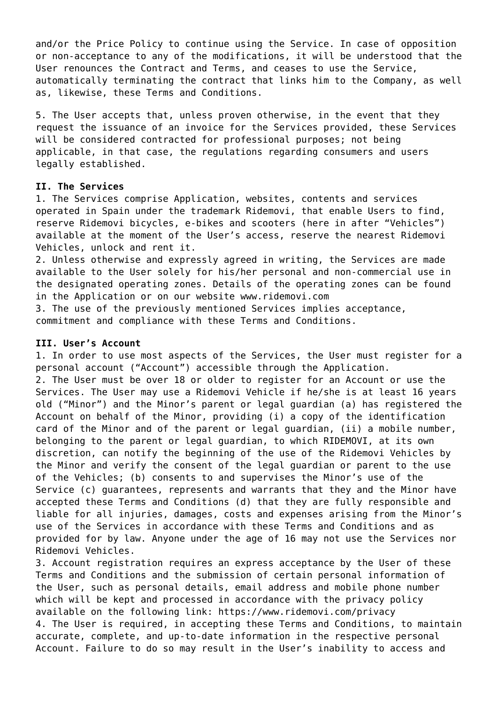and/or the Price Policy to continue using the Service. In case of opposition or non-acceptance to any of the modifications, it will be understood that the User renounces the Contract and Terms, and ceases to use the Service, automatically terminating the contract that links him to the Company, as well as, likewise, these Terms and Conditions.

5. The User accepts that, unless proven otherwise, in the event that they request the issuance of an invoice for the Services provided, these Services will be considered contracted for professional purposes; not being applicable, in that case, the regulations regarding consumers and users legally established.

## **II. The Services**

1. The Services comprise Application, websites, contents and services operated in Spain under the trademark Ridemovi, that enable Users to find, reserve Ridemovi bicycles, e-bikes and scooters (here in after "Vehicles") available at the moment of the User's access, reserve the nearest Ridemovi Vehicles, unlock and rent it.

2. Unless otherwise and expressly agreed in writing, the Services are made available to the User solely for his/her personal and non-commercial use in the designated operating zones. Details of the operating zones can be found in the Application or on our website www.ridemovi.com

3. The use of the previously mentioned Services implies acceptance, commitment and compliance with these Terms and Conditions.

## **III. User's Account**

1. In order to use most aspects of the Services, the User must register for a personal account ("Account") accessible through the Application.

2. The User must be over 18 or older to register for an Account or use the Services. The User may use a Ridemovi Vehicle if he/she is at least 16 years old ("Minor") and the Minor's parent or legal guardian (a) has registered the Account on behalf of the Minor, providing (i) a copy of the identification card of the Minor and of the parent or legal guardian, (ii) a mobile number, belonging to the parent or legal guardian, to which RIDEMOVI, at its own discretion, can notify the beginning of the use of the Ridemovi Vehicles by the Minor and verify the consent of the legal guardian or parent to the use of the Vehicles; (b) consents to and supervises the Minor's use of the Service (c) guarantees, represents and warrants that they and the Minor have accepted these Terms and Conditions (d) that they are fully responsible and liable for all injuries, damages, costs and expenses arising from the Minor's use of the Services in accordance with these Terms and Conditions and as provided for by law. Anyone under the age of 16 may not use the Services nor Ridemovi Vehicles.

3. Account registration requires an express acceptance by the User of these Terms and Conditions and the submission of certain personal information of the User, such as personal details, email address and mobile phone number which will be kept and processed in accordance with the privacy policy available on the following link: https://www.ridemovi.com/privacy 4. The User is required, in accepting these Terms and Conditions, to maintain accurate, complete, and up-to-date information in the respective personal Account. Failure to do so may result in the User's inability to access and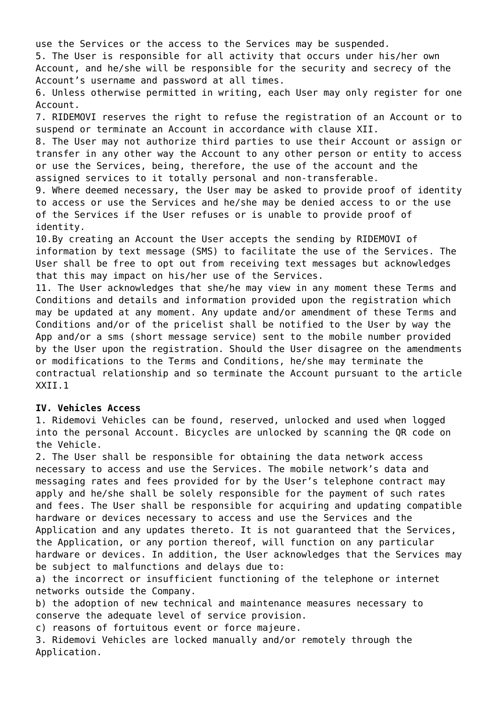use the Services or the access to the Services may be suspended.

5. The User is responsible for all activity that occurs under his/her own Account, and he/she will be responsible for the security and secrecy of the Account's username and password at all times.

6. Unless otherwise permitted in writing, each User may only register for one Account.

7. RIDEMOVI reserves the right to refuse the registration of an Account or to suspend or terminate an Account in accordance with clause XII.

8. The User may not authorize third parties to use their Account or assign or transfer in any other way the Account to any other person or entity to access or use the Services, being, therefore, the use of the account and the assigned services to it totally personal and non-transferable.

9. Where deemed necessary, the User may be asked to provide proof of identity to access or use the Services and he/she may be denied access to or the use of the Services if the User refuses or is unable to provide proof of identity.

10.By creating an Account the User accepts the sending by RIDEMOVI of information by text message (SMS) to facilitate the use of the Services. The User shall be free to opt out from receiving text messages but acknowledges that this may impact on his/her use of the Services.

11. The User acknowledges that she/he may view in any moment these Terms and Conditions and details and information provided upon the registration which may be updated at any moment. Any update and/or amendment of these Terms and Conditions and/or of the pricelist shall be notified to the User by way the App and/or a sms (short message service) sent to the mobile number provided by the User upon the registration. Should the User disagree on the amendments or modifications to the Terms and Conditions, he/she may terminate the contractual relationship and so terminate the Account pursuant to the article XXII.1

# **IV. Vehicles Access**

1. Ridemovi Vehicles can be found, reserved, unlocked and used when logged into the personal Account. Bicycles are unlocked by scanning the QR code on the Vehicle.

2. The User shall be responsible for obtaining the data network access necessary to access and use the Services. The mobile network's data and messaging rates and fees provided for by the User's telephone contract may apply and he/she shall be solely responsible for the payment of such rates and fees. The User shall be responsible for acquiring and updating compatible hardware or devices necessary to access and use the Services and the Application and any updates thereto. It is not guaranteed that the Services, the Application, or any portion thereof, will function on any particular hardware or devices. In addition, the User acknowledges that the Services may be subject to malfunctions and delays due to:

a) the incorrect or insufficient functioning of the telephone or internet networks outside the Company.

b) the adoption of new technical and maintenance measures necessary to conserve the adequate level of service provision.

c) reasons of fortuitous event or force majeure.

3. Ridemovi Vehicles are locked manually and/or remotely through the Application.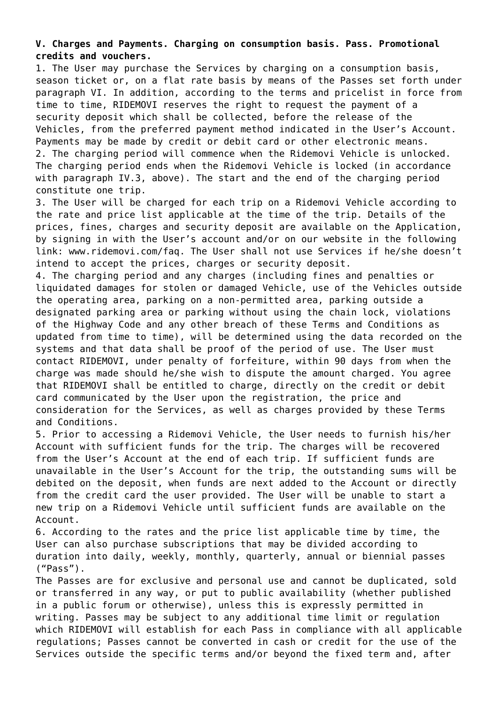# **V. Charges and Payments. Charging on consumption basis. Pass. Promotional credits and vouchers.**

1. The User may purchase the Services by charging on a consumption basis, season ticket or, on a flat rate basis by means of the Passes set forth under paragraph VI. In addition, according to the terms and pricelist in force from time to time, RIDEMOVI reserves the right to request the payment of a security deposit which shall be collected, before the release of the Vehicles, from the preferred payment method indicated in the User's Account. Payments may be made by credit or debit card or other electronic means. 2. The charging period will commence when the Ridemovi Vehicle is unlocked. The charging period ends when the Ridemovi Vehicle is locked (in accordance with paragraph IV.3, above). The start and the end of the charging period constitute one trip.

3. The User will be charged for each trip on a Ridemovi Vehicle according to the rate and price list applicable at the time of the trip. Details of the prices, fines, charges and security deposit are available on the Application, by signing in with the User's account and/or on our website in the following link: www.ridemovi.com/faq. The User shall not use Services if he/she doesn't intend to accept the prices, charges or security deposit.

4. The charging period and any charges (including fines and penalties or liquidated damages for stolen or damaged Vehicle, use of the Vehicles outside the operating area, parking on a non-permitted area, parking outside a designated parking area or parking without using the chain lock, violations of the Highway Code and any other breach of these Terms and Conditions as updated from time to time), will be determined using the data recorded on the systems and that data shall be proof of the period of use. The User must contact RIDEMOVI, under penalty of forfeiture, within 90 days from when the charge was made should he/she wish to dispute the amount charged. You agree that RIDEMOVI shall be entitled to charge, directly on the credit or debit card communicated by the User upon the registration, the price and consideration for the Services, as well as charges provided by these Terms and Conditions.

5. Prior to accessing a Ridemovi Vehicle, the User needs to furnish his/her Account with sufficient funds for the trip. The charges will be recovered from the User's Account at the end of each trip. If sufficient funds are unavailable in the User's Account for the trip, the outstanding sums will be debited on the deposit, when funds are next added to the Account or directly from the credit card the user provided. The User will be unable to start a new trip on a Ridemovi Vehicle until sufficient funds are available on the Account.

6. According to the rates and the price list applicable time by time, the User can also purchase subscriptions that may be divided according to duration into daily, weekly, monthly, quarterly, annual or biennial passes ("Pass").

The Passes are for exclusive and personal use and cannot be duplicated, sold or transferred in any way, or put to public availability (whether published in a public forum or otherwise), unless this is expressly permitted in writing. Passes may be subject to any additional time limit or regulation which RIDEMOVI will establish for each Pass in compliance with all applicable regulations; Passes cannot be converted in cash or credit for the use of the Services outside the specific terms and/or beyond the fixed term and, after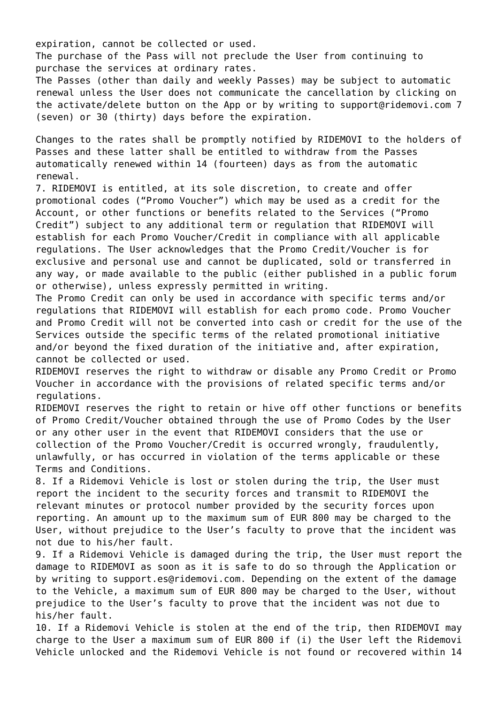expiration, cannot be collected or used.

The purchase of the Pass will not preclude the User from continuing to purchase the services at ordinary rates.

The Passes (other than daily and weekly Passes) may be subject to automatic renewal unless the User does not communicate the cancellation by clicking on the activate/delete button on the App or by writing to support@ridemovi.com 7 (seven) or 30 (thirty) days before the expiration.

Changes to the rates shall be promptly notified by RIDEMOVI to the holders of Passes and these latter shall be entitled to withdraw from the Passes automatically renewed within 14 (fourteen) days as from the automatic renewal.

7. RIDEMOVI is entitled, at its sole discretion, to create and offer promotional codes ("Promo Voucher") which may be used as a credit for the Account, or other functions or benefits related to the Services ("Promo Credit") subject to any additional term or regulation that RIDEMOVI will establish for each Promo Voucher/Credit in compliance with all applicable regulations. The User acknowledges that the Promo Credit/Voucher is for exclusive and personal use and cannot be duplicated, sold or transferred in any way, or made available to the public (either published in a public forum or otherwise), unless expressly permitted in writing.

The Promo Credit can only be used in accordance with specific terms and/or regulations that RIDEMOVI will establish for each promo code. Promo Voucher and Promo Credit will not be converted into cash or credit for the use of the Services outside the specific terms of the related promotional initiative and/or beyond the fixed duration of the initiative and, after expiration, cannot be collected or used.

RIDEMOVI reserves the right to withdraw or disable any Promo Credit or Promo Voucher in accordance with the provisions of related specific terms and/or regulations.

RIDEMOVI reserves the right to retain or hive off other functions or benefits of Promo Credit/Voucher obtained through the use of Promo Codes by the User or any other user in the event that RIDEMOVI considers that the use or collection of the Promo Voucher/Credit is occurred wrongly, fraudulently, unlawfully, or has occurred in violation of the terms applicable or these Terms and Conditions.

8. If a Ridemovi Vehicle is lost or stolen during the trip, the User must report the incident to the security forces and transmit to RIDEMOVI the relevant minutes or protocol number provided by the security forces upon reporting. An amount up to the maximum sum of EUR 800 may be charged to the User, without prejudice to the User's faculty to prove that the incident was not due to his/her fault.

9. If a Ridemovi Vehicle is damaged during the trip, the User must report the damage to RIDEMOVI as soon as it is safe to do so through the Application or by writing to support.es@ridemovi.com. Depending on the extent of the damage to the Vehicle, a maximum sum of EUR 800 may be charged to the User, without prejudice to the User's faculty to prove that the incident was not due to his/her fault.

10. If a Ridemovi Vehicle is stolen at the end of the trip, then RIDEMOVI may charge to the User a maximum sum of EUR 800 if (i) the User left the Ridemovi Vehicle unlocked and the Ridemovi Vehicle is not found or recovered within 14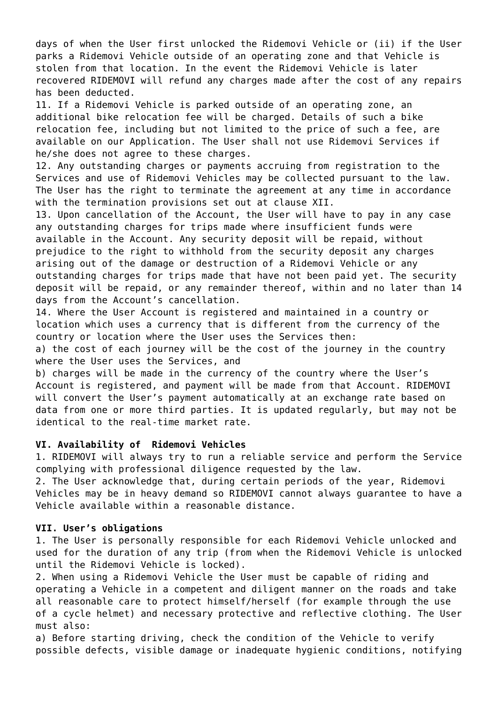days of when the User first unlocked the Ridemovi Vehicle or (ii) if the User parks a Ridemovi Vehicle outside of an operating zone and that Vehicle is stolen from that location. In the event the Ridemovi Vehicle is later recovered RIDEMOVI will refund any charges made after the cost of any repairs has been deducted.

11. If a Ridemovi Vehicle is parked outside of an operating zone, an additional bike relocation fee will be charged. Details of such a bike relocation fee, including but not limited to the price of such a fee, are available on our Application. The User shall not use Ridemovi Services if he/she does not agree to these charges.

12. Any outstanding charges or payments accruing from registration to the Services and use of Ridemovi Vehicles may be collected pursuant to the law. The User has the right to terminate the agreement at any time in accordance with the termination provisions set out at clause XII.

13. Upon cancellation of the Account, the User will have to pay in any case any outstanding charges for trips made where insufficient funds were available in the Account. Any security deposit will be repaid, without prejudice to the right to withhold from the security deposit any charges arising out of the damage or destruction of a Ridemovi Vehicle or any outstanding charges for trips made that have not been paid yet. The security deposit will be repaid, or any remainder thereof, within and no later than 14 days from the Account's cancellation.

14. Where the User Account is registered and maintained in a country or location which uses a currency that is different from the currency of the country or location where the User uses the Services then:

a) the cost of each journey will be the cost of the journey in the country where the User uses the Services, and

b) charges will be made in the currency of the country where the User's Account is registered, and payment will be made from that Account. RIDEMOVI will convert the User's payment automatically at an exchange rate based on data from one or more third parties. It is updated regularly, but may not be identical to the real-time market rate.

# **VI. Availability of Ridemovi Vehicles**

1. RIDEMOVI will always try to run a reliable service and perform the Service complying with professional diligence requested by the law.

2. The User acknowledge that, during certain periods of the year, Ridemovi Vehicles may be in heavy demand so RIDEMOVI cannot always guarantee to have a Vehicle available within a reasonable distance.

## **VII. User's obligations**

1. The User is personally responsible for each Ridemovi Vehicle unlocked and used for the duration of any trip (from when the Ridemovi Vehicle is unlocked until the Ridemovi Vehicle is locked).

2. When using a Ridemovi Vehicle the User must be capable of riding and operating a Vehicle in a competent and diligent manner on the roads and take all reasonable care to protect himself/herself (for example through the use of a cycle helmet) and necessary protective and reflective clothing. The User must also:

a) Before starting driving, check the condition of the Vehicle to verify possible defects, visible damage or inadequate hygienic conditions, notifying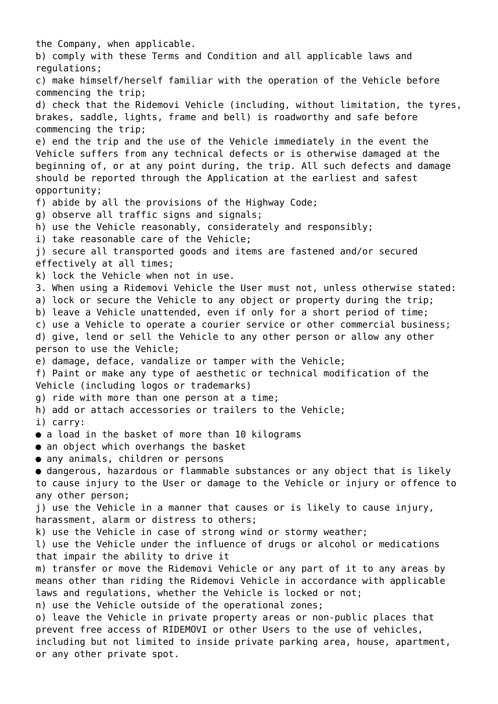the Company, when applicable. b) comply with these Terms and Condition and all applicable laws and regulations; c) make himself/herself familiar with the operation of the Vehicle before commencing the trip; d) check that the Ridemovi Vehicle (including, without limitation, the tyres, brakes, saddle, lights, frame and bell) is roadworthy and safe before commencing the trip; e) end the trip and the use of the Vehicle immediately in the event the Vehicle suffers from any technical defects or is otherwise damaged at the beginning of, or at any point during, the trip. All such defects and damage should be reported through the Application at the earliest and safest opportunity; f) abide by all the provisions of the Highway Code; g) observe all traffic signs and signals; h) use the Vehicle reasonably, considerately and responsibly; i) take reasonable care of the Vehicle; j) secure all transported goods and items are fastened and/or secured effectively at all times; k) lock the Vehicle when not in use. 3. When using a Ridemovi Vehicle the User must not, unless otherwise stated: a) lock or secure the Vehicle to any object or property during the trip; b) leave a Vehicle unattended, even if only for a short period of time; c) use a Vehicle to operate a courier service or other commercial business; d) give, lend or sell the Vehicle to any other person or allow any other person to use the Vehicle; e) damage, deface, vandalize or tamper with the Vehicle; f) Paint or make any type of aesthetic or technical modification of the Vehicle (including logos or trademarks) g) ride with more than one person at a time; h) add or attach accessories or trailers to the Vehicle; i) carry: ● a load in the basket of more than 10 kilograms • an object which overhangs the basket ● any animals, children or persons ● dangerous, hazardous or flammable substances or any object that is likely to cause injury to the User or damage to the Vehicle or injury or offence to any other person; j) use the Vehicle in a manner that causes or is likely to cause injury, harassment, alarm or distress to others; k) use the Vehicle in case of strong wind or stormy weather; l) use the Vehicle under the influence of drugs or alcohol or medications that impair the ability to drive it m) transfer or move the Ridemovi Vehicle or any part of it to any areas by means other than riding the Ridemovi Vehicle in accordance with applicable laws and regulations, whether the Vehicle is locked or not; n) use the Vehicle outside of the operational zones; o) leave the Vehicle in private property areas or non-public places that prevent free access of RIDEMOVI or other Users to the use of vehicles, including but not limited to inside private parking area, house, apartment, or any other private spot.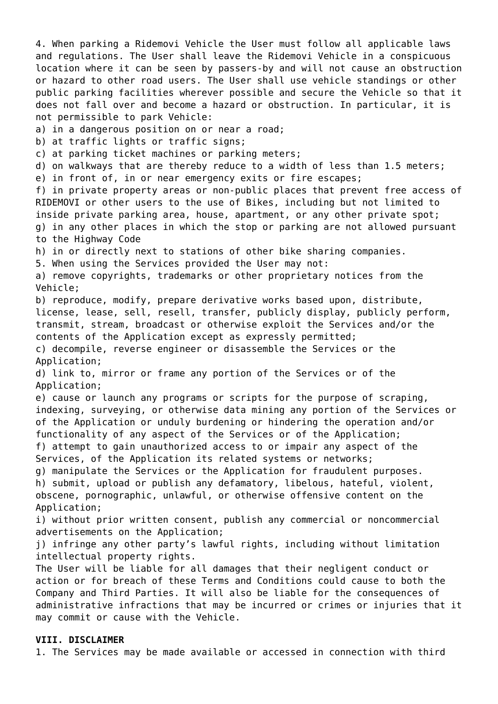4. When parking a Ridemovi Vehicle the User must follow all applicable laws and regulations. The User shall leave the Ridemovi Vehicle in a conspicuous location where it can be seen by passers-by and will not cause an obstruction or hazard to other road users. The User shall use vehicle standings or other public parking facilities wherever possible and secure the Vehicle so that it does not fall over and become a hazard or obstruction. In particular, it is not permissible to park Vehicle: a) in a dangerous position on or near a road; b) at traffic lights or traffic signs; c) at parking ticket machines or parking meters; d) on walkways that are thereby reduce to a width of less than 1.5 meters; e) in front of, in or near emergency exits or fire escapes; f) in private property areas or non-public places that prevent free access of RIDEMOVI or other users to the use of Bikes, including but not limited to inside private parking area, house, apartment, or any other private spot; g) in any other places in which the stop or parking are not allowed pursuant to the Highway Code h) in or directly next to stations of other bike sharing companies. 5. When using the Services provided the User may not: a) remove copyrights, trademarks or other proprietary notices from the Vehicle; b) reproduce, modify, prepare derivative works based upon, distribute, license, lease, sell, resell, transfer, publicly display, publicly perform, transmit, stream, broadcast or otherwise exploit the Services and/or the contents of the Application except as expressly permitted; c) decompile, reverse engineer or disassemble the Services or the Application; d) link to, mirror or frame any portion of the Services or of the Application; e) cause or launch any programs or scripts for the purpose of scraping, indexing, surveying, or otherwise data mining any portion of the Services or of the Application or unduly burdening or hindering the operation and/or functionality of any aspect of the Services or of the Application; f) attempt to gain unauthorized access to or impair any aspect of the Services, of the Application its related systems or networks; g) manipulate the Services or the Application for fraudulent purposes. h) submit, upload or publish any defamatory, libelous, hateful, violent, obscene, pornographic, unlawful, or otherwise offensive content on the Application; i) without prior written consent, publish any commercial or noncommercial advertisements on the Application; j) infringe any other party's lawful rights, including without limitation intellectual property rights. The User will be liable for all damages that their negligent conduct or action or for breach of these Terms and Conditions could cause to both the Company and Third Parties. It will also be liable for the consequences of administrative infractions that may be incurred or crimes or injuries that it may commit or cause with the Vehicle.

## **VIII. DISCLAIMER**

1. The Services may be made available or accessed in connection with third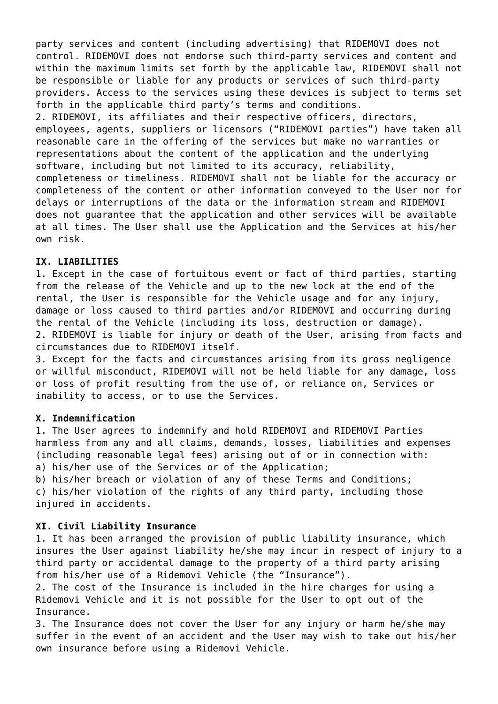party services and content (including advertising) that RIDEMOVI does not control. RIDEMOVI does not endorse such third-party services and content and within the maximum limits set forth by the applicable law, RIDEMOVI shall not be responsible or liable for any products or services of such third-party providers. Access to the services using these devices is subject to terms set forth in the applicable third party's terms and conditions. 2. RIDEMOVI, its affiliates and their respective officers, directors, employees, agents, suppliers or licensors ("RIDEMOVI parties") have taken all reasonable care in the offering of the services but make no warranties or representations about the content of the application and the underlying software, including but not limited to its accuracy, reliability, completeness or timeliness. RIDEMOVI shall not be liable for the accuracy or completeness of the content or other information conveyed to the User nor for delays or interruptions of the data or the information stream and RIDEMOVI does not guarantee that the application and other services will be available at all times. The User shall use the Application and the Services at his/her own risk.

# **IX. LIABILITIES**

1. Except in the case of fortuitous event or fact of third parties, starting from the release of the Vehicle and up to the new lock at the end of the rental, the User is responsible for the Vehicle usage and for any injury, damage or loss caused to third parties and/or RIDEMOVI and occurring during the rental of the Vehicle (including its loss, destruction or damage). 2. RIDEMOVI is liable for injury or death of the User, arising from facts and circumstances due to RIDEMOVI itself.

3. Except for the facts and circumstances arising from its gross negligence or willful misconduct, RIDEMOVI will not be held liable for any damage, loss or loss of profit resulting from the use of, or reliance on, Services or inability to access, or to use the Services.

# **X. Indemnification**

1. The User agrees to indemnify and hold RIDEMOVI and RIDEMOVI Parties harmless from any and all claims, demands, losses, liabilities and expenses (including reasonable legal fees) arising out of or in connection with: a) his/her use of the Services or of the Application;

b) his/her breach or violation of any of these Terms and Conditions; c) his/her violation of the rights of any third party, including those injured in accidents.

# **XI. Civil Liability Insurance**

1. It has been arranged the provision of public liability insurance, which insures the User against liability he/she may incur in respect of injury to a third party or accidental damage to the property of a third party arising from his/her use of a Ridemovi Vehicle (the "Insurance").

2. The cost of the Insurance is included in the hire charges for using a Ridemovi Vehicle and it is not possible for the User to opt out of the Insurance.

3. The Insurance does not cover the User for any injury or harm he/she may suffer in the event of an accident and the User may wish to take out his/her own insurance before using a Ridemovi Vehicle.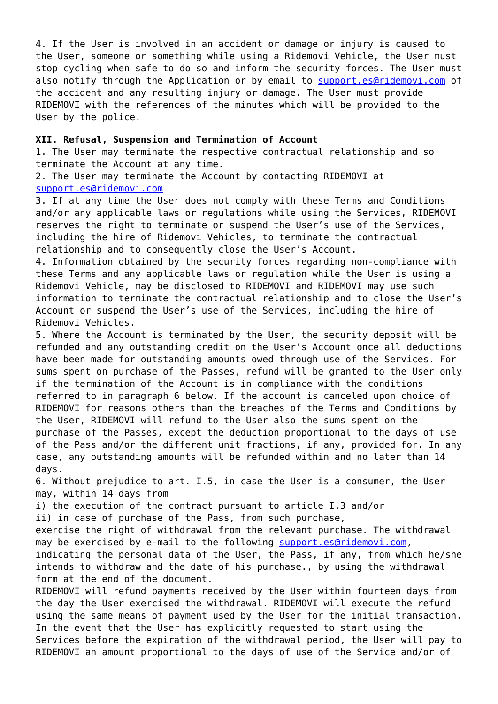4. If the User is involved in an accident or damage or injury is caused to the User, someone or something while using a Ridemovi Vehicle, the User must stop cycling when safe to do so and inform the security forces. The User must also notify through the Application or by email to [support.es@ridemovi.com](mailto:support.es@ridemovi.com) of the accident and any resulting injury or damage. The User must provide RIDEMOVI with the references of the minutes which will be provided to the User by the police.

## **XII. Refusal, Suspension and Termination of Account**

1. The User may terminate the respective contractual relationship and so terminate the Account at any time.

2. The User may terminate the Account by contacting RIDEMOVI at [support.es@ridemovi.com](mailto:support.es@ridemovi.com)

3. If at any time the User does not comply with these Terms and Conditions and/or any applicable laws or regulations while using the Services, RIDEMOVI reserves the right to terminate or suspend the User's use of the Services, including the hire of Ridemovi Vehicles, to terminate the contractual relationship and to consequently close the User's Account.

4. Information obtained by the security forces regarding non-compliance with these Terms and any applicable laws or regulation while the User is using a Ridemovi Vehicle, may be disclosed to RIDEMOVI and RIDEMOVI may use such information to terminate the contractual relationship and to close the User's Account or suspend the User's use of the Services, including the hire of Ridemovi Vehicles.

5. Where the Account is terminated by the User, the security deposit will be refunded and any outstanding credit on the User's Account once all deductions have been made for outstanding amounts owed through use of the Services. For sums spent on purchase of the Passes, refund will be granted to the User only if the termination of the Account is in compliance with the conditions referred to in paragraph 6 below. If the account is canceled upon choice of RIDEMOVI for reasons others than the breaches of the Terms and Conditions by the User, RIDEMOVI will refund to the User also the sums spent on the purchase of the Passes, except the deduction proportional to the days of use of the Pass and/or the different unit fractions, if any, provided for. In any case, any outstanding amounts will be refunded within and no later than 14 days.

6. Without prejudice to art. I.5, in case the User is a consumer, the User may, within 14 days from

i) the execution of the contract pursuant to article I.3 and/or

ii) in case of purchase of the Pass, from such purchase,

exercise the right of withdrawal from the relevant purchase. The withdrawal may be exercised by e-mail to the following [support.es@ridemovi.com](mailto:support.es@ridemovi.com),

indicating the personal data of the User, the Pass, if any, from which he/she intends to withdraw and the date of his purchase., by using the withdrawal form at the end of the document.

RIDEMOVI will refund payments received by the User within fourteen days from the day the User exercised the withdrawal. RIDEMOVI will execute the refund using the same means of payment used by the User for the initial transaction. In the event that the User has explicitly requested to start using the Services before the expiration of the withdrawal period, the User will pay to RIDEMOVI an amount proportional to the days of use of the Service and/or of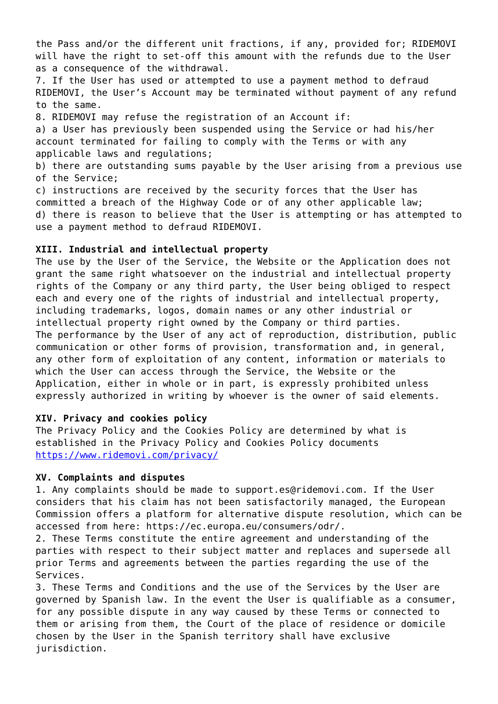the Pass and/or the different unit fractions, if any, provided for; RIDEMOVI will have the right to set-off this amount with the refunds due to the User as a consequence of the withdrawal.

7. If the User has used or attempted to use a payment method to defraud RIDEMOVI, the User's Account may be terminated without payment of any refund to the same.

8. RIDEMOVI may refuse the registration of an Account if:

a) a User has previously been suspended using the Service or had his/her account terminated for failing to comply with the Terms or with any applicable laws and regulations;

b) there are outstanding sums payable by the User arising from a previous use of the Service;

c) instructions are received by the security forces that the User has committed a breach of the Highway Code or of any other applicable law; d) there is reason to believe that the User is attempting or has attempted to use a payment method to defraud RIDEMOVI.

## **XIII. Industrial and intellectual property**

The use by the User of the Service, the Website or the Application does not grant the same right whatsoever on the industrial and intellectual property rights of the Company or any third party, the User being obliged to respect each and every one of the rights of industrial and intellectual property, including trademarks, logos, domain names or any other industrial or intellectual property right owned by the Company or third parties. The performance by the User of any act of reproduction, distribution, public communication or other forms of provision, transformation and, in general, any other form of exploitation of any content, information or materials to which the User can access through the Service, the Website or the Application, either in whole or in part, is expressly prohibited unless expressly authorized in writing by whoever is the owner of said elements.

# **XIV. Privacy and cookies policy**

The Privacy Policy and the Cookies Policy are determined by what is established in the Privacy Policy and Cookies Policy documents <https://www.ridemovi.com/privacy/>

## **XV. Complaints and disputes**

1. Any complaints should be made to support.es@ridemovi.com. If the User considers that his claim has not been satisfactorily managed, the European Commission offers a platform for alternative dispute resolution, which can be accessed from here: https://ec.europa.eu/consumers/odr/.

2. These Terms constitute the entire agreement and understanding of the parties with respect to their subject matter and replaces and supersede all prior Terms and agreements between the parties regarding the use of the Services.

3. These Terms and Conditions and the use of the Services by the User are governed by Spanish law. In the event the User is qualifiable as a consumer, for any possible dispute in any way caused by these Terms or connected to them or arising from them, the Court of the place of residence or domicile chosen by the User in the Spanish territory shall have exclusive jurisdiction.